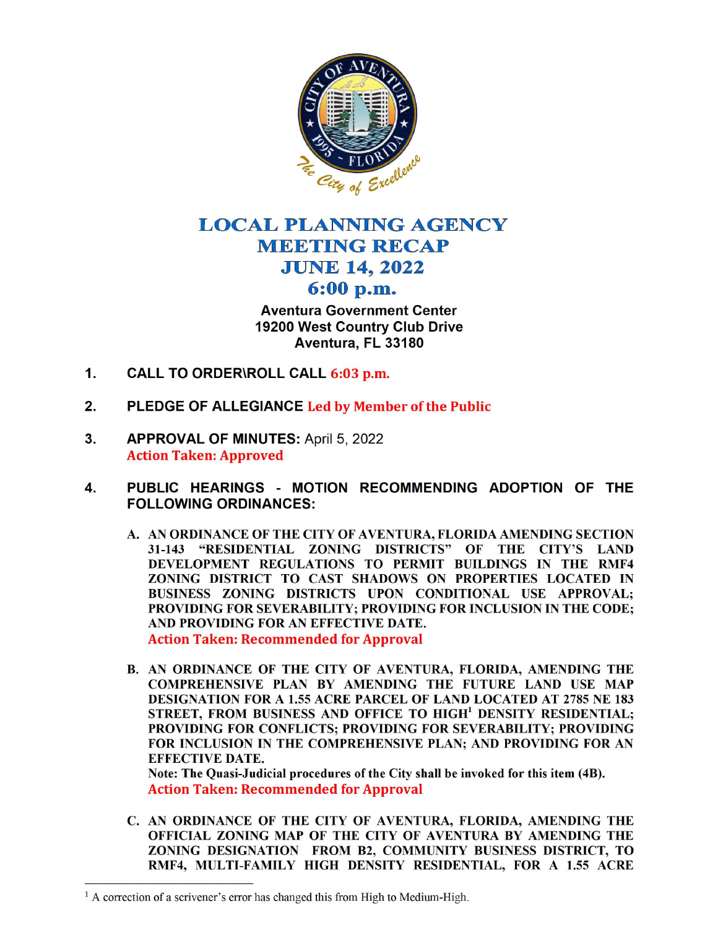

## LOCAL PLANNING AGENCY MEETING RECAP **JUNE 14, 2022** 6: 00 p.m.

Aventura Government Center 19200 West Country Club Drive Aventura, FL 33180

- 1. CALL TO ORDER\ROLL CALL 6:03 p.m.
- 2. PLEDGE OF ALLEGIANCE Led by Member of the Public
- 3. APPROVAL OF MINUTES: April 5, 2022 Action Taken: Approved
- 4. PUBLIC HEARINGS MOTION RECOMMENDING ADOPTION OF THE FOLLOWING ORDINANCES:
	- A. AN ORDINANCE OF THE CITY OF AVENTURA, FLORIDA AMENDING SECTION 31-143 "RESIDENTIAL ZONING DISTRICTS" OF THE CITY'S LAND DEVELOPMENT REGULATIONS TO PERMIT BUILDINGS IN THE RMF4 ZONING DISTRICT TO CAST SHADOWS ON PROPERTIES LOCATED IN BUSINESS ZONING DISTRICTS UPON CONDITIONAL USE APPROVAL; PROVIDING FOR SEVERABILITY; PROVIDING FOR INCLUSION IN THE CODE; AND PROVIDING FOR AN EFFECTIVE DATE. Action Taken: Recommended for Approval
	- B. AN ORDINANCE OF THE CITY OF AVENTURA, FLORIDA, AMENDING THE COMPREHENSIVE PLAN BY AMENDING THE FUTURE LAND USE MAP DESIGNATION FOR A 1.55 ACRE PARCEL OF LAND LOCATED AT 2785 NE 183 STREET, FROM BUSINESS AND OFFICE TO HIGH' DENSITY RESIDENTIAL; PROVIDING FOR CONFLICTS; PROVIDING FOR SEVERABILITY; PROVIDING FOR INCLUSION IN THE COMPREHENSIVE PLAN; AND PROVIDING FOR AN EFFECTIVE DATE.

Note: The Quasi-Judicial procedures of the City shall be invoked for this item (4B). Action Taken: Recommended for Approval

C. AN ORDINANCE OF THE CITY OF AVENTURA, FLORIDA, AMENDING THE OFFICIAL ZONING MAP OF THE CITY OF AVENTURA BY AMENDING THE ZONING DESIGNATION FROM B2, COMMUNITY BUSINESS DISTRICT, TO RMF4, MULTI-FAMILY HIGH DENSITY RESIDENTIAL, FOR A 1.55 ACRE

 $<sup>1</sup>$  A correction of a scrivener's error has changed this from High to Medium-High.</sup>